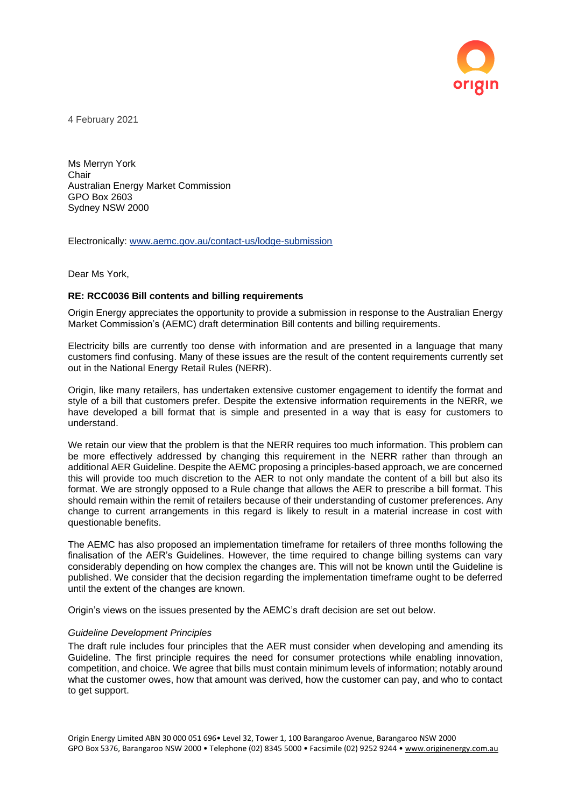

4 February 2021

Ms Merryn York Chair Australian Energy Market Commission GPO Box 2603 Sydney NSW 2000

Electronically: [www.aemc.gov.au/contact-us/lodge-submission](http://www.aemc.gov.au/contact-us/lodge-submission)

Dear Ms York,

## **RE: RCC0036 Bill contents and billing requirements**

Origin Energy appreciates the opportunity to provide a submission in response to the Australian Energy Market Commission's (AEMC) draft determination Bill contents and billing requirements.

Electricity bills are currently too dense with information and are presented in a language that many customers find confusing. Many of these issues are the result of the content requirements currently set out in the National Energy Retail Rules (NERR).

Origin, like many retailers, has undertaken extensive customer engagement to identify the format and style of a bill that customers prefer. Despite the extensive information requirements in the NERR, we have developed a bill format that is simple and presented in a way that is easy for customers to understand.

We retain our view that the problem is that the NERR requires too much information. This problem can be more effectively addressed by changing this requirement in the NERR rather than through an additional AER Guideline. Despite the AEMC proposing a principles-based approach, we are concerned this will provide too much discretion to the AER to not only mandate the content of a bill but also its format. We are strongly opposed to a Rule change that allows the AER to prescribe a bill format. This should remain within the remit of retailers because of their understanding of customer preferences. Any change to current arrangements in this regard is likely to result in a material increase in cost with questionable benefits.

The AEMC has also proposed an implementation timeframe for retailers of three months following the finalisation of the AER's Guidelines. However, the time required to change billing systems can vary considerably depending on how complex the changes are. This will not be known until the Guideline is published. We consider that the decision regarding the implementation timeframe ought to be deferred until the extent of the changes are known.

Origin's views on the issues presented by the AEMC's draft decision are set out below.

## *Guideline Development Principles*

The draft rule includes four principles that the AER must consider when developing and amending its Guideline. The first principle requires the need for consumer protections while enabling innovation, competition, and choice. We agree that bills must contain minimum levels of information; notably around what the customer owes, how that amount was derived, how the customer can pay, and who to contact to get support.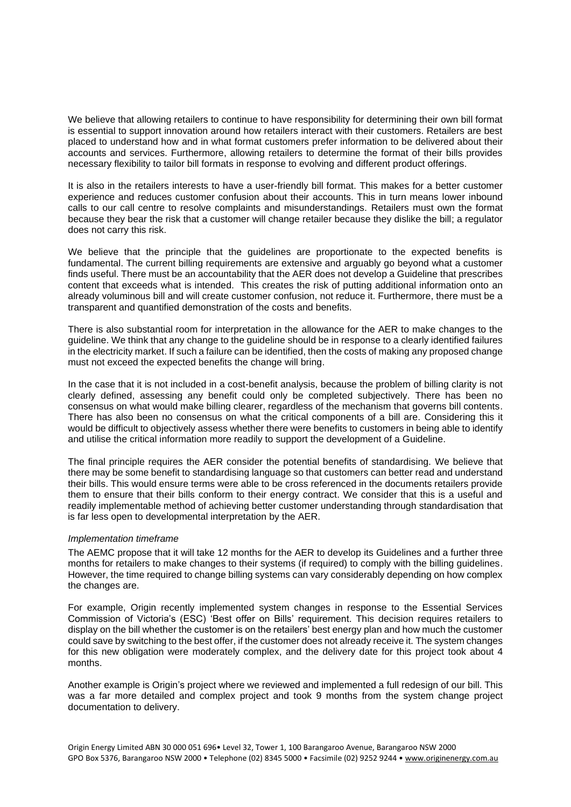We believe that allowing retailers to continue to have responsibility for determining their own bill format is essential to support innovation around how retailers interact with their customers. Retailers are best placed to understand how and in what format customers prefer information to be delivered about their accounts and services. Furthermore, allowing retailers to determine the format of their bills provides necessary flexibility to tailor bill formats in response to evolving and different product offerings.

It is also in the retailers interests to have a user-friendly bill format. This makes for a better customer experience and reduces customer confusion about their accounts. This in turn means lower inbound calls to our call centre to resolve complaints and misunderstandings. Retailers must own the format because they bear the risk that a customer will change retailer because they dislike the bill; a regulator does not carry this risk.

We believe that the principle that the guidelines are proportionate to the expected benefits is fundamental. The current billing requirements are extensive and arguably go beyond what a customer finds useful. There must be an accountability that the AER does not develop a Guideline that prescribes content that exceeds what is intended. This creates the risk of putting additional information onto an already voluminous bill and will create customer confusion, not reduce it. Furthermore, there must be a transparent and quantified demonstration of the costs and benefits.

There is also substantial room for interpretation in the allowance for the AER to make changes to the guideline. We think that any change to the guideline should be in response to a clearly identified failures in the electricity market. If such a failure can be identified, then the costs of making any proposed change must not exceed the expected benefits the change will bring.

In the case that it is not included in a cost-benefit analysis, because the problem of billing clarity is not clearly defined, assessing any benefit could only be completed subjectively. There has been no consensus on what would make billing clearer, regardless of the mechanism that governs bill contents. There has also been no consensus on what the critical components of a bill are. Considering this it would be difficult to objectively assess whether there were benefits to customers in being able to identify and utilise the critical information more readily to support the development of a Guideline.

The final principle requires the AER consider the potential benefits of standardising. We believe that there may be some benefit to standardising language so that customers can better read and understand their bills. This would ensure terms were able to be cross referenced in the documents retailers provide them to ensure that their bills conform to their energy contract. We consider that this is a useful and readily implementable method of achieving better customer understanding through standardisation that is far less open to developmental interpretation by the AER.

## *Implementation timeframe*

The AEMC propose that it will take 12 months for the AER to develop its Guidelines and a further three months for retailers to make changes to their systems (if required) to comply with the billing guidelines. However, the time required to change billing systems can vary considerably depending on how complex the changes are.

For example, Origin recently implemented system changes in response to the Essential Services Commission of Victoria's (ESC) 'Best offer on Bills' requirement. This decision requires retailers to display on the bill whether the customer is on the retailers' best energy plan and how much the customer could save by switching to the best offer, if the customer does not already receive it. The system changes for this new obligation were moderately complex, and the delivery date for this project took about 4 months.

Another example is Origin's project where we reviewed and implemented a full redesign of our bill. This was a far more detailed and complex project and took 9 months from the system change project documentation to delivery.